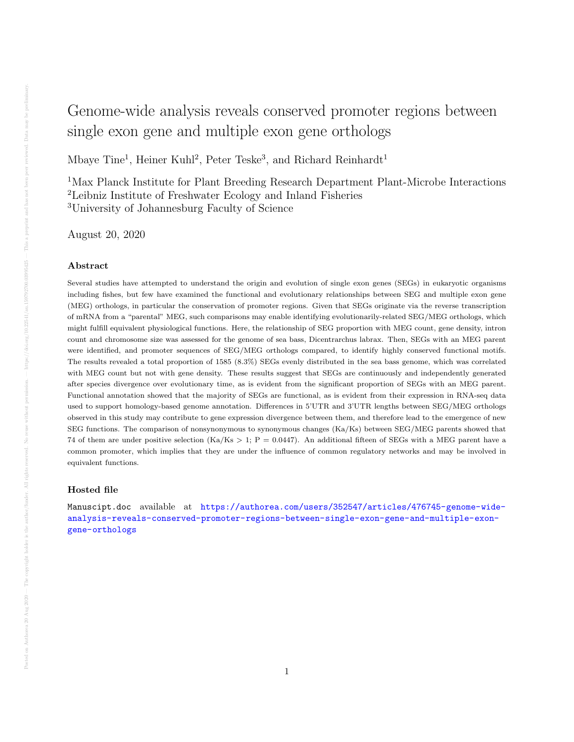## Genome-wide analysis reveals conserved promoter regions between single exon gene and multiple exon gene orthologs

Mbaye Tine<sup>1</sup>, Heiner Kuhl<sup>2</sup>, Peter Teske<sup>3</sup>, and Richard Reinhardt<sup>1</sup>

<sup>1</sup>Max Planck Institute for Plant Breeding Research Department Plant-Microbe Interactions <sup>2</sup>Leibniz Institute of Freshwater Ecology and Inland Fisheries <sup>3</sup>University of Johannesburg Faculty of Science

August 20, 2020

## Abstract

Several studies have attempted to understand the origin and evolution of single exon genes (SEGs) in eukaryotic organisms including fishes, but few have examined the functional and evolutionary relationships between SEG and multiple exon gene (MEG) orthologs, in particular the conservation of promoter regions. Given that SEGs originate via the reverse transcription of mRNA from a "parental" MEG, such comparisons may enable identifying evolutionarily-related SEG/MEG orthologs, which might fulfill equivalent physiological functions. Here, the relationship of SEG proportion with MEG count, gene density, intron count and chromosome size was assessed for the genome of sea bass, Dicentrarchus labrax. Then, SEGs with an MEG parent were identified, and promoter sequences of SEG/MEG orthologs compared, to identify highly conserved functional motifs. The results revealed a total proportion of 1585 (8.3%) SEGs evenly distributed in the sea bass genome, which was correlated with MEG count but not with gene density. These results suggest that SEGs are continuously and independently generated after species divergence over evolutionary time, as is evident from the significant proportion of SEGs with an MEG parent. Functional annotation showed that the majority of SEGs are functional, as is evident from their expression in RNA-seq data used to support homology-based genome annotation. Differences in 5'UTR and 3'UTR lengths between SEG/MEG orthologs observed in this study may contribute to gene expression divergence between them, and therefore lead to the emergence of new SEG functions. The comparison of nonsynonymous to synonymous changes (Ka/Ks) between SEG/MEG parents showed that 74 of them are under positive selection  $(Ka/Ks > 1; P = 0.0447)$ . An additional fifteen of SEGs with a MEG parent have a common promoter, which implies that they are under the influence of common regulatory networks and may be involved in equivalent functions.

## Hosted file

Manuscipt.doc available at [https://authorea.com/users/352547/articles/476745-genome-wide](https://authorea.com/users/352547/articles/476745-genome-wide-analysis-reveals-conserved-promoter-regions-between-single-exon-gene-and-multiple-exon-gene-orthologs)[analysis-reveals-conserved-promoter-regions-between-single-exon-gene-and-multiple-exon](https://authorea.com/users/352547/articles/476745-genome-wide-analysis-reveals-conserved-promoter-regions-between-single-exon-gene-and-multiple-exon-gene-orthologs)[gene-orthologs](https://authorea.com/users/352547/articles/476745-genome-wide-analysis-reveals-conserved-promoter-regions-between-single-exon-gene-and-multiple-exon-gene-orthologs)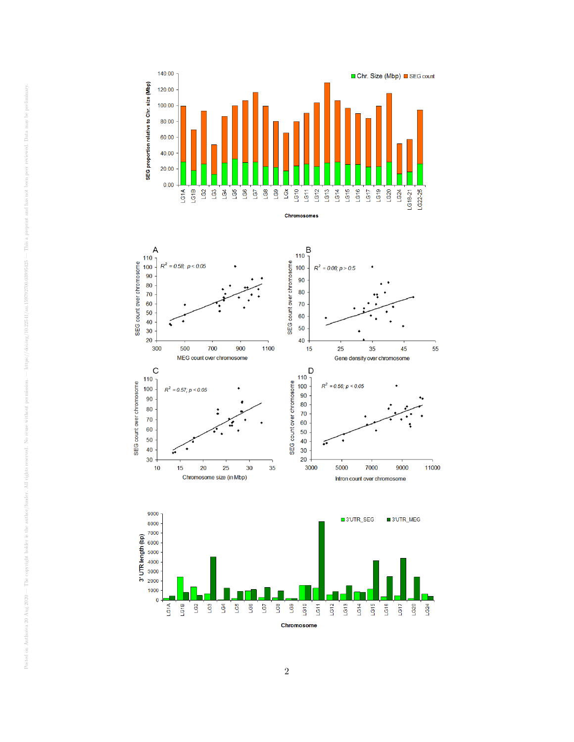